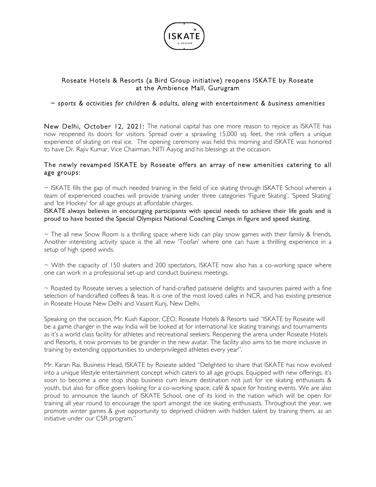

## Roseate Hotels & Resorts (a Bird Group initiative) reopens ISKATE by Roseate at the Ambience Mall, Gurugram

## *~ sports & activities for children & adults, along with entertainment & business amenities*

New Delhi, October 12, 2021: The national capital has one more reason to rejoice as ISKATE has now reopened its doors for visitors. Spread over a sprawling 15,000 sq. feet, the rink offers a unique experience of skating on real ice. The opening ceremony was held this morning and ISKATE was honored to have Dr. Rajiv Kumar, Vice Chairman, NITI Aayog and his blessings at the occasion.

## The newly revamped ISKATE by Roseate offers an array of new amenities catering to all age groups:

 $\sim$  ISKATE fills the gap of much needed training in the field of ice skating through ISKATE School wherein a team of experienced coaches will provide training under three categories 'Figure Skating', 'Speed Skating' and 'Ice Hockey' for all age groups at affordable charges.

ISKATE always believes in encouraging participants with special needs to achieve their life goals and is proud to have hosted the Special Olympics National Coaching Camps in figure and speed skating.

 $\sim$  The all new Snow Room is a thrilling space where kids can play snow games with their family & friends. Another interesting activity space is the all new 'Toofan' where one can have a thrilling experience in a setup of high speed winds.

 $\sim$  With the capacity of 150 skaters and 200 spectators, ISKATE now also has a co-working space where one can work in a professional set-up and conduct business meetings.

 $\sim$  Roasted by Roseate serves a selection of hand-crafted patisserie delights and savouries paired with a fine selection of handcrafted coffees & teas. It is one of the most loved cafes in NCR, and has existing presence in Roseate House New Delhi and Vasant Kunj, New Delhi.

Speaking on the occasion, Mr. Kush Kapoor, CEO, Roseate Hotels & Resorts said "ISKATE by Roseate will be a game changer in the way India will be looked at for international Ice skating trainings and tournaments as it's a world class facility for athletes and recreational seekers. Reopening the arena under Roseate Hotels and Resorts, it now promises to be grander in the new avatar. The facility also aims to be more inclusive in training by extending opportunities to underprivileged athletes every year".

Mr. Karan Rai, Business Head, ISKATE by Roseate added "Delighted to share that ISKATE has now evolved into a unique lifestyle entertainment concept which caters to all age groups. Equipped with new offerings, it's soon to become a one stop shop business cum leisure destination not just for ice skating enthusiasts & youth, but also for office goers looking for a co-working space, café & space for hosting events. We are also proud to announce the launch of ISKATE School, one of its kind in the nation which will be open for training all year round to encourage the sport amongst the ice skating enthusiasts. Throughout the year, we promote winter games & give opportunity to deprived children with hidden talent by training them, as an initiative under our CSR program."